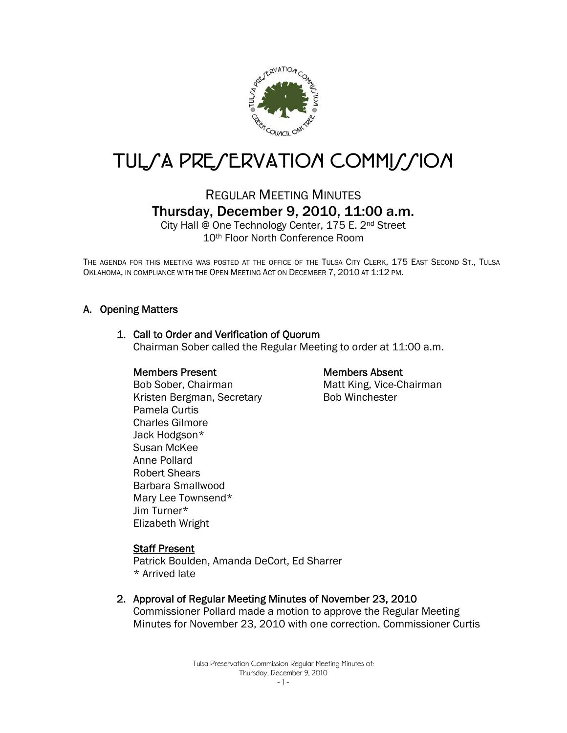

# TUL/A PRE/ERVATION COMMI//ION

# REGULAR MEETING MINUTES Thursday, December 9, 2010, 11:00 a.m.

City Hall @ One Technology Center, 175 E. 2nd Street 10th Floor North Conference Room

THE AGENDA FOR THIS MEETING WAS POSTED AT THE OFFICE OF THE TULSA CITY CLERK, 175 EAST SECOND ST., TULSA OKLAHOMA, IN COMPLIANCE WITH THE OPEN MEETING ACT ON DECEMBER 7, 2010 AT 1:12 PM.

# A. Opening Matters

# 1. Call to Order and Verification of Quorum

Chairman Sober called the Regular Meeting to order at 11:00 a.m.

#### Members Present

### Bob Sober, Chairman Kristen Bergman, Secretary Pamela Curtis Charles Gilmore Jack Hodgson\* Susan McKee Anne Pollard Robert Shears Barbara Smallwood Mary Lee Townsend\* Jim Turner\* Elizabeth Wright

#### Members Absent

Matt King, Vice-Chairman Bob Winchester

# **Staff Present**

Patrick Boulden, Amanda DeCort, Ed Sharrer \* Arrived late

# 2. Approval of Regular Meeting Minutes of November 23, 2010

Commissioner Pollard made a motion to approve the Regular Meeting Minutes for November 23, 2010 with one correction. Commissioner Curtis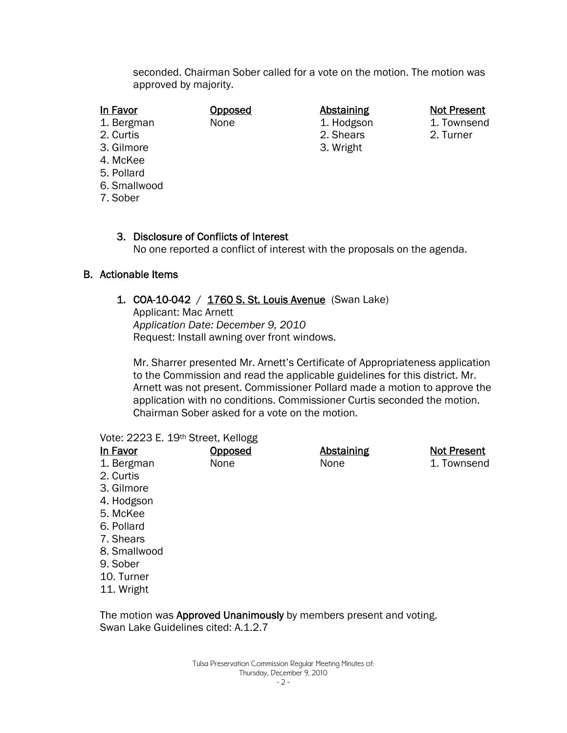seconded. Chairman Sober called for a vote on the motion. The motion was approved by majority.

# In Favor

1. Bergman

- 2. Curtis
- 3. Gilmore
- 4. McKee
- 5. Pollard
- 6. Smallwood
- 7. Sober

#### **Opposed** None

**Abstaining** 

1. Hodgson 2. Shears 3. Wright

Not Present

1. Townsend 2. Turner

3. Disclosure of Conflicts of Interest No one reported a conflict of interest with the proposals on the agenda.

# B. Actionable Items

1. COA-10-042 / 1760 S. St. Louis Avenue (Swan Lake) Applicant: Mac Arnett *Application Date: December 9, 2010* Request: Install awning over front windows.

Mr. Sharrer presented Mr. Arnett's Certificate of Appropriateness application to the Commission and read the applicable guidelines for this district. Mr. Arnett was not present. Commissioner Pollard made a motion to approve the application with no conditions. Commissioner Curtis seconded the motion. Chairman Sober asked for a vote on the motion.

#### Vote: 2223 E. 19th Street, Kellogg

| In Favor     | <b>Opposed</b> | <b>Abstaining</b> | <b>Not Present</b> |
|--------------|----------------|-------------------|--------------------|
| 1. Bergman   | None           | None              | 1. Townsend        |
| 2. Curtis    |                |                   |                    |
| 3. Gilmore   |                |                   |                    |
| 4. Hodgson   |                |                   |                    |
| 5. McKee     |                |                   |                    |
| 6. Pollard   |                |                   |                    |
| 7. Shears    |                |                   |                    |
| 8. Smallwood |                |                   |                    |
| 9. Sober     |                |                   |                    |
| 10. Turner   |                |                   |                    |

11. Wright

The motion was **Approved Unanimously** by members present and voting. Swan Lake Guidelines cited: A.1.2.7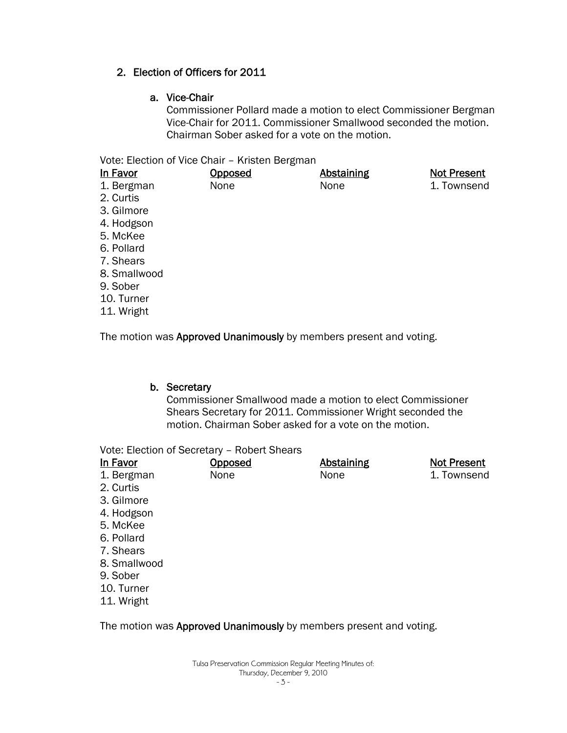# 2. Election of Officers for 2011

# a. Vice-Chair

Commissioner Pollard made a motion to elect Commissioner Bergman Vice-Chair for 2011. Commissioner Smallwood seconded the motion. Chairman Sober asked for a vote on the motion.

Vote: Election of Vice Chair – Kristen Bergman

| In Favor     | <u>Opposed</u> | <b>Abstaining</b> | <b>Not Present</b> |
|--------------|----------------|-------------------|--------------------|
| 1. Bergman   | None           | None              | 1. Townsend        |
| 2. Curtis    |                |                   |                    |
| 3. Gilmore   |                |                   |                    |
| 4. Hodgson   |                |                   |                    |
| 5. McKee     |                |                   |                    |
| 6. Pollard   |                |                   |                    |
| 7. Shears    |                |                   |                    |
| 8. Smallwood |                |                   |                    |
| 9. Sober     |                |                   |                    |
| 10. Turner   |                |                   |                    |
| 11. Wright   |                |                   |                    |
|              |                |                   |                    |

The motion was Approved Unanimously by members present and voting.

### b. Secretary

Commissioner Smallwood made a motion to elect Commissioner Shears Secretary for 2011. Commissioner Wright seconded the motion. Chairman Sober asked for a vote on the motion.

Vote: Election of Secretary – Robert Shears

| In Favor     | <b>Opposed</b> | <b>Abstaining</b> | <b>Not Present</b> |
|--------------|----------------|-------------------|--------------------|
| 1. Bergman   | None           | None              | 1. Townsend        |
| 2. Curtis    |                |                   |                    |
| 3. Gilmore   |                |                   |                    |
| 4. Hodgson   |                |                   |                    |
| 5. McKee     |                |                   |                    |
| 6. Pollard   |                |                   |                    |
| 7. Shears    |                |                   |                    |
| 8. Smallwood |                |                   |                    |
| 9. Sober     |                |                   |                    |
| 10. Turner   |                |                   |                    |
| 11. Wright   |                |                   |                    |

The motion was Approved Unanimously by members present and voting.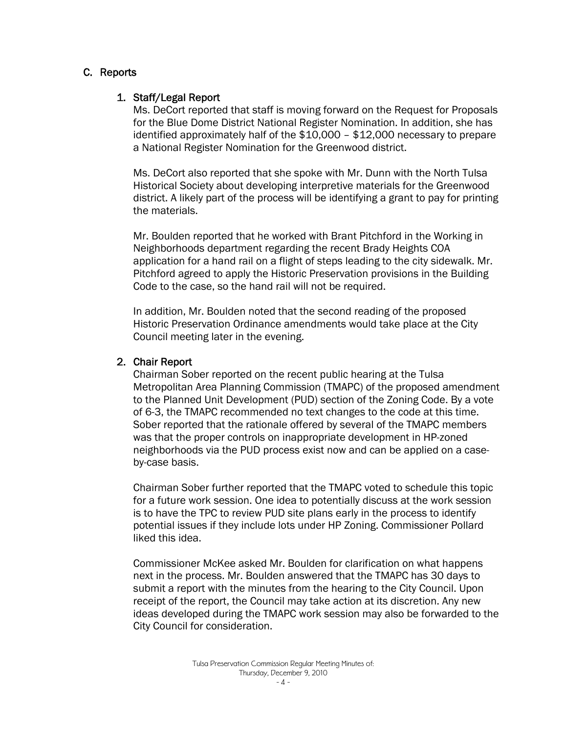# C. Reports

# 1. Staff/Legal Report

Ms. DeCort reported that staff is moving forward on the Request for Proposals for the Blue Dome District National Register Nomination. In addition, she has identified approximately half of the \$10,000 – \$12,000 necessary to prepare a National Register Nomination for the Greenwood district.

Ms. DeCort also reported that she spoke with Mr. Dunn with the North Tulsa Historical Society about developing interpretive materials for the Greenwood district. A likely part of the process will be identifying a grant to pay for printing the materials.

Mr. Boulden reported that he worked with Brant Pitchford in the Working in Neighborhoods department regarding the recent Brady Heights COA application for a hand rail on a flight of steps leading to the city sidewalk. Mr. Pitchford agreed to apply the Historic Preservation provisions in the Building Code to the case, so the hand rail will not be required.

In addition, Mr. Boulden noted that the second reading of the proposed Historic Preservation Ordinance amendments would take place at the City Council meeting later in the evening.

# 2. Chair Report

Chairman Sober reported on the recent public hearing at the Tulsa Metropolitan Area Planning Commission (TMAPC) of the proposed amendment to the Planned Unit Development (PUD) section of the Zoning Code. By a vote of 6-3, the TMAPC recommended no text changes to the code at this time. Sober reported that the rationale offered by several of the TMAPC members was that the proper controls on inappropriate development in HP-zoned neighborhoods via the PUD process exist now and can be applied on a caseby-case basis.

Chairman Sober further reported that the TMAPC voted to schedule this topic for a future work session. One idea to potentially discuss at the work session is to have the TPC to review PUD site plans early in the process to identify potential issues if they include lots under HP Zoning. Commissioner Pollard liked this idea.

Commissioner McKee asked Mr. Boulden for clarification on what happens next in the process. Mr. Boulden answered that the TMAPC has 30 days to submit a report with the minutes from the hearing to the City Council. Upon receipt of the report, the Council may take action at its discretion. Any new ideas developed during the TMAPC work session may also be forwarded to the City Council for consideration.